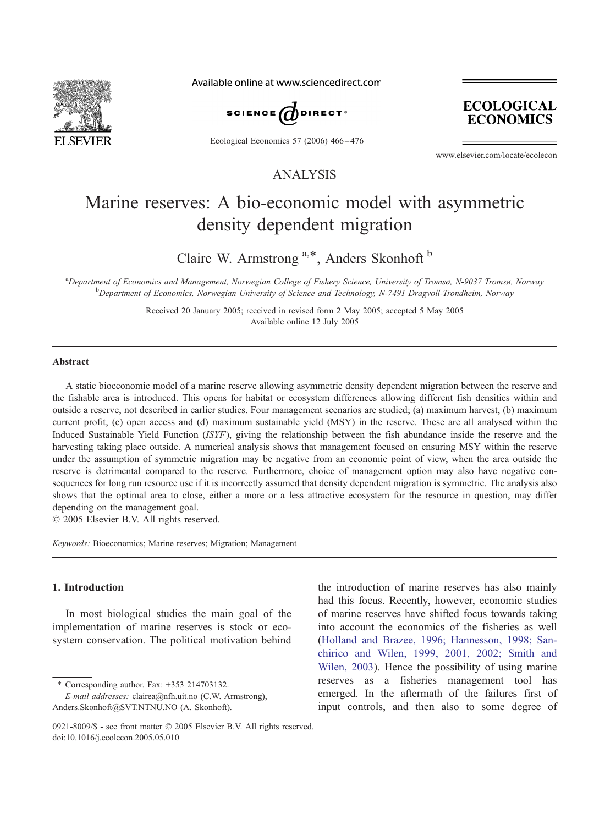

Available online at www.sciencedirect.com



Ecological Economics 57 (2006) 466 – 476



www.elsevier.com/locate/ecolecon

## ANALYSIS

# Marine reserves: A bio-economic model with asymmetric density dependent migration

Claire W. Armstrong <sup>a,\*</sup>, Anders Skonhoft b

a<br>
Department of Economics and Management, Norwegian College of Fishery Science, University of Tromsø, N-9037 Tromsø, Norway <sup>b</sup>Department of Economics, Norwegian University of Science and Technology, N-7491 Dragvoll-Trondheim, Norway

> Received 20 January 2005; received in revised form 2 May 2005; accepted 5 May 2005 Available online 12 July 2005

## Abstract

A static bioeconomic model of a marine reserve allowing asymmetric density dependent migration between the reserve and the fishable area is introduced. This opens for habitat or ecosystem differences allowing different fish densities within and outside a reserve, not described in earlier studies. Four management scenarios are studied; (a) maximum harvest, (b) maximum current profit, (c) open access and (d) maximum sustainable yield (MSY) in the reserve. These are all analysed within the Induced Sustainable Yield Function (ISYF), giving the relationship between the fish abundance inside the reserve and the harvesting taking place outside. A numerical analysis shows that management focused on ensuring MSY within the reserve under the assumption of symmetric migration may be negative from an economic point of view, when the area outside the reserve is detrimental compared to the reserve. Furthermore, choice of management option may also have negative consequences for long run resource use if it is incorrectly assumed that density dependent migration is symmetric. The analysis also shows that the optimal area to close, either a more or a less attractive ecosystem for the resource in question, may differ depending on the management goal.

 $© 2005 Elsevier B.V. All rights reserved.$ 

Keywords: Bioeconomics; Marine reserves; Migration; Management

## 1. Introduction

In most biological studies the main goal of the implementation of marine reserves is stock or ecosystem conservation. The political motivation behind

\* Corresponding author. Fax: +353 214703132.

the introduction of marine reserves has also mainly had this focus. Recently, however, economic studies of marine reserves have shifted focus towards taking into account the economics of the fisheries as well ([Holland and Brazee, 1996; Hannesson, 1998; San](#page-10-0)chirico and Wilen, 1999, 2001, 2002; Smith and Wilen, 2003). Hence the possibility of using marine reserves as a fisheries management tool has emerged. In the aftermath of the failures first of input controls, and then also to some degree of

E-mail addresses: clairea@nfh.uit.no (C.W. Armstrong), Anders.Skonhoft@SVT.NTNU.NO (A. Skonhoft).

<sup>0921-8009/\$ -</sup> see front matter © 2005 Elsevier B.V. All rights reserved. doi:10.1016/j.ecolecon.2005.05.010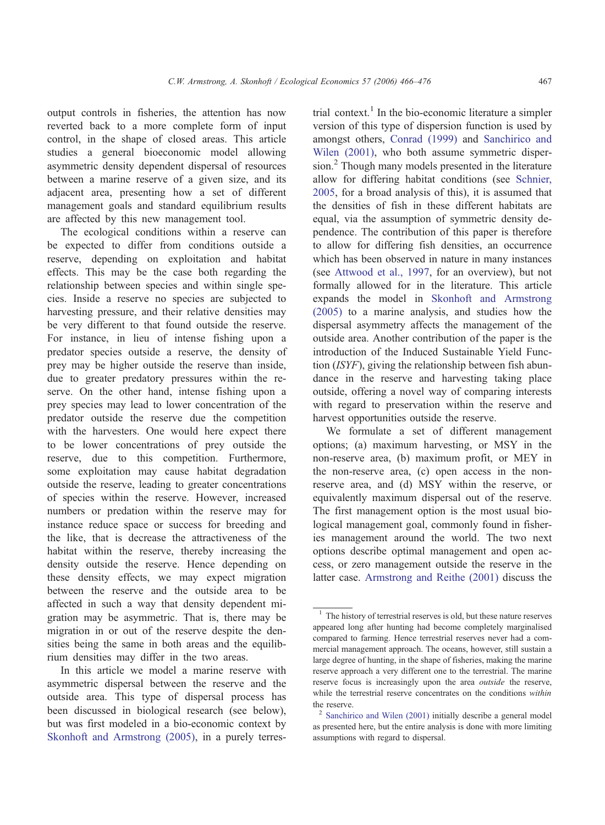reverted back to a more complete form of input control, in the shape of closed areas. This article studies a general bioeconomic model allowing asymmetric density dependent dispersal of resources between a marine reserve of a given size, and its adjacent area, presenting how a set of different management goals and standard equilibrium results are affected by this new management tool.

The ecological conditions within a reserve can be expected to differ from conditions outside a reserve, depending on exploitation and habitat effects. This may be the case both regarding the relationship between species and within single species. Inside a reserve no species are subjected to harvesting pressure, and their relative densities may be very different to that found outside the reserve. For instance, in lieu of intense fishing upon a predator species outside a reserve, the density of prey may be higher outside the reserve than inside, due to greater predatory pressures within the reserve. On the other hand, intense fishing upon a prey species may lead to lower concentration of the predator outside the reserve due the competition with the harvesters. One would here expect there to be lower concentrations of prey outside the reserve, due to this competition. Furthermore, some exploitation may cause habitat degradation outside the reserve, leading to greater concentrations of species within the reserve. However, increased numbers or predation within the reserve may for instance reduce space or success for breeding and the like, that is decrease the attractiveness of the habitat within the reserve, thereby increasing the density outside the reserve. Hence depending on these density effects, we may expect migration between the reserve and the outside area to be affected in such a way that density dependent migration may be asymmetric. That is, there may be migration in or out of the reserve despite the densities being the same in both areas and the equilibrium densities may differ in the two areas.

In this article we model a marine reserve with asymmetric dispersal between the reserve and the outside area. This type of dispersal process has been discussed in biological research (see below), but was first modeled in a bio-economic context by [Skonhoft and Armstrong \(2005\),](#page-10-0) in a purely terrestrial context.<sup>1</sup> In the bio-economic literature a simpler version of this type of dispersion function is used by amongst others, [Conrad \(1999\)](#page-10-0) and [Sanchirico and](#page-10-0) Wilen (2001), who both assume symmetric dispersion.<sup>2</sup> Though many models presented in the literature allow for differing habitat conditions (see [Schnier,](#page-10-0) 2005, for a broad analysis of this), it is assumed that the densities of fish in these different habitats are equal, via the assumption of symmetric density dependence. The contribution of this paper is therefore to allow for differing fish densities, an occurrence which has been observed in nature in many instances (see [Attwood et al., 1997,](#page-10-0) for an overview), but not formally allowed for in the literature. This article expands the model in [Skonhoft and Armstrong](#page-10-0) (2005) to a marine analysis, and studies how the dispersal asymmetry affects the management of the outside area. Another contribution of the paper is the introduction of the Induced Sustainable Yield Function (ISYF), giving the relationship between fish abundance in the reserve and harvesting taking place outside, offering a novel way of comparing interests with regard to preservation within the reserve and harvest opportunities outside the reserve.

We formulate a set of different management options; (a) maximum harvesting, or MSY in the non-reserve area, (b) maximum profit, or MEY in the non-reserve area, (c) open access in the nonreserve area, and (d) MSY within the reserve, or equivalently maximum dispersal out of the reserve. The first management option is the most usual biological management goal, commonly found in fisheries management around the world. The two next options describe optimal management and open access, or zero management outside the reserve in the latter case. [Armstrong and Reithe \(2001\)](#page-10-0) discuss the

 $1$  The history of terrestrial reserves is old, but these nature reserves appeared long after hunting had become completely marginalised compared to farming. Hence terrestrial reserves never had a commercial management approach. The oceans, however, still sustain a large degree of hunting, in the shape of fisheries, making the marine reserve approach a very different one to the terrestrial. The marine reserve focus is increasingly upon the area outside the reserve, while the terrestrial reserve concentrates on the conditions within the reserve.

<sup>2</sup> [Sanchirico and Wilen \(2001\)](#page-10-0) initially describe a general model as presented here, but the entire analysis is done with more limiting assumptions with regard to dispersal.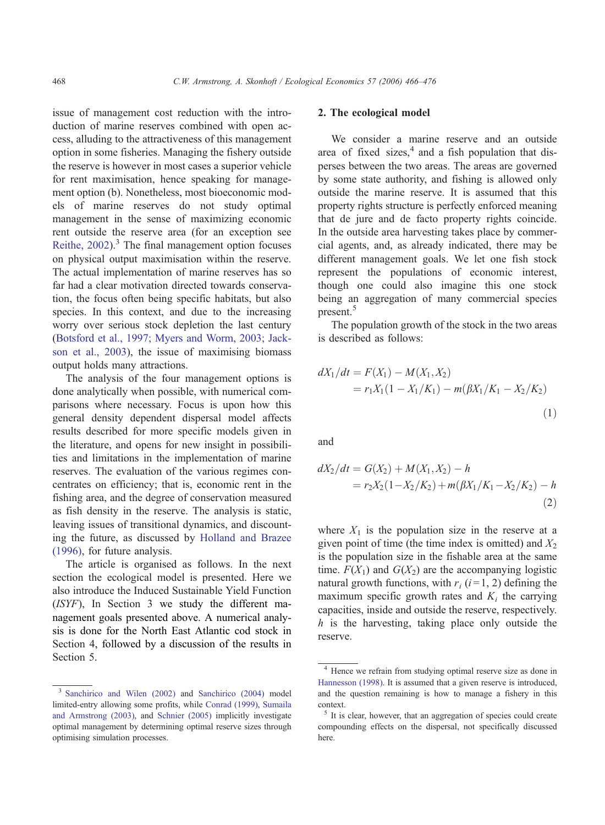issue of management cost reduction with the introduction of marine reserves combined with open access, alluding to the attractiveness of this management option in some fisheries. Managing the fishery outside the reserve is however in most cases a superior vehicle for rent maximisation, hence speaking for management option (b). Nonetheless, most bioeconomic models of marine reserves do not study optimal management in the sense of maximizing economic rent outside the reserve area (for an exception see Reithe,  $2002$ ).<sup>3</sup> The final management option focuses on physical output maximisation within the reserve. The actual implementation of marine reserves has so far had a clear motivation directed towards conservation, the focus often being specific habitats, but also species. In this context, and due to the increasing worry over serious stock depletion the last century ([Botsford et al., 1997; Myers and Worm, 2003; Jack](#page-10-0)son et al., 2003), the issue of maximising biomass output holds many attractions.

The analysis of the four management options is done analytically when possible, with numerical comparisons where necessary. Focus is upon how this general density dependent dispersal model affects results described for more specific models given in the literature, and opens for new insight in possibilities and limitations in the implementation of marine reserves. The evaluation of the various regimes concentrates on efficiency; that is, economic rent in the fishing area, and the degree of conservation measured as fish density in the reserve. The analysis is static, leaving issues of transitional dynamics, and discounting the future, as discussed by [Holland and Brazee](#page-10-0) (1996), for future analysis.

The article is organised as follows. In the next section the ecological model is presented. Here we also introduce the Induced Sustainable Yield Function (ISYF), In Section 3 we study the different management goals presented above. A numerical analysis is done for the North East Atlantic cod stock in Section 4, followed by a discussion of the results in Section 5.

## 2. The ecological model

We consider a marine reserve and an outside area of fixed sizes, $4$  and a fish population that disperses between the two areas. The areas are governed by some state authority, and fishing is allowed only outside the marine reserve. It is assumed that this property rights structure is perfectly enforced meaning that de jure and de facto property rights coincide. In the outside area harvesting takes place by commercial agents, and, as already indicated, there may be different management goals. We let one fish stock represent the populations of economic interest, though one could also imagine this one stock being an aggregation of many commercial species present.<sup>5</sup>

The population growth of the stock in the two areas is described as follows:

$$
dX_1/dt = F(X_1) - M(X_1, X_2)
$$
  
=  $r_1X_1(1 - X_1/K_1) - m(\beta X_1/K_1 - X_2/K_2)$  (1)

and

$$
dX_2/dt = G(X_2) + M(X_1, X_2) - h
$$
  
=  $r_2X_2(1 - X_2/K_2) + m(\beta X_1/K_1 - X_2/K_2) - h$   
(2)

where  $X_1$  is the population size in the reserve at a given point of time (the time index is omitted) and  $X_2$ is the population size in the fishable area at the same time.  $F(X_1)$  and  $G(X_2)$  are the accompanying logistic natural growth functions, with  $r_i$  ( $i = 1, 2$ ) defining the maximum specific growth rates and  $K_i$  the carrying capacities, inside and outside the reserve, respectively.  $h$  is the harvesting, taking place only outside the reserve.

<sup>3</sup> [Sanchirico and Wilen \(2002\)](#page-10-0) and [Sanchirico \(2004\)](#page-10-0) model limited-entry allowing some profits, while [Conrad \(1999\),](#page-10-0) [Sumaila](#page-10-0) and Armstrong (2003), and [Schnier \(2005\)](#page-10-0) implicitly investigate optimal management by determining optimal reserve sizes through optimising simulation processes.

<sup>4</sup> Hence we refrain from studying optimal reserve size as done in [Hannesson \(1998\).](#page-10-0) It is assumed that a given reserve is introduced, and the question remaining is how to manage a fishery in this context.

<sup>&</sup>lt;sup>5</sup> It is clear, however, that an aggregation of species could create compounding effects on the dispersal, not specifically discussed here.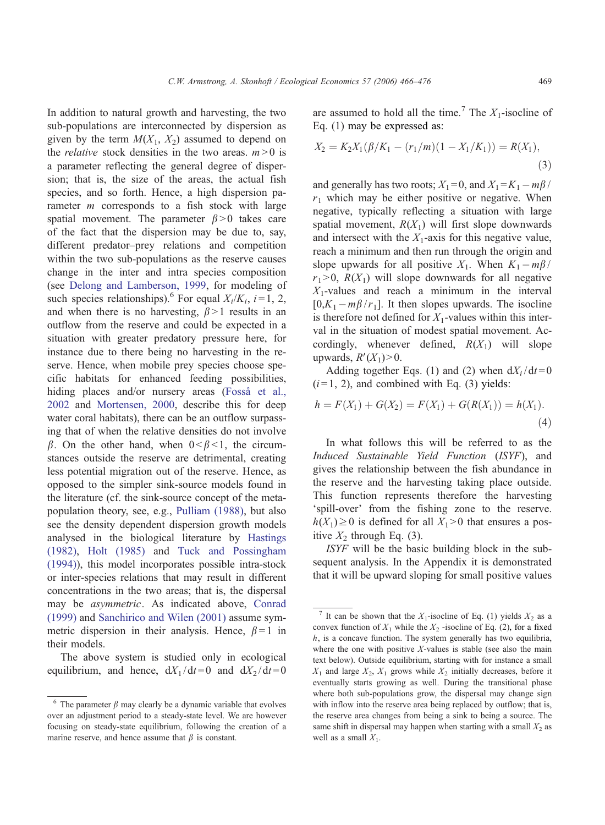In addition to natural growth and harvesting, the two sub-populations are interconnected by dispersion as given by the term  $M(X_1, X_2)$  assumed to depend on the *relative* stock densities in the two areas.  $m > 0$  is a parameter reflecting the general degree of dispersion; that is, the size of the areas, the actual fish species, and so forth. Hence, a high dispersion parameter  $m$  corresponds to a fish stock with large spatial movement. The parameter  $\beta > 0$  takes care of the fact that the dispersion may be due to, say, different predator–prey relations and competition within the two sub-populations as the reserve causes change in the inter and intra species composition (see [Delong and Lamberson, 1999,](#page-10-0) for modeling of such species relationships).<sup>6</sup> For equal  $X_i/K_i$ ,  $i = 1, 2$ , and when there is no harvesting,  $\beta > 1$  results in an outflow from the reserve and could be expected in a situation with greater predatory pressure here, for instance due to there being no harvesting in the reserve. Hence, when mobile prey species choose specific habitats for enhanced feeding possibilities, hiding places and/or nursery areas (Fosså et al., 2002 and [Mortensen, 2000,](#page-10-0) describe this for deep water coral habitats), there can be an outflow surpassing that of when the relative densities do not involve  $\beta$ . On the other hand, when  $0 < \beta < 1$ , the circumstances outside the reserve are detrimental, creating less potential migration out of the reserve. Hence, as opposed to the simpler sink-source models found in the literature (cf. the sink-source concept of the metapopulation theory, see, e.g., [Pulliam \(1988\),](#page-10-0) but also see the density dependent dispersion growth models analysed in the biological literature by [Hastings](#page-10-0) (1982), [Holt \(1985\)](#page-10-0) and [Tuck and Possingham](#page-10-0) (1994)), this model incorporates possible intra-stock or inter-species relations that may result in different concentrations in the two areas; that is, the dispersal may be asymmetric. As indicated above, [Conrad](#page-10-0) (1999) and [Sanchirico and Wilen \(2001\)](#page-10-0) assume symmetric dispersion in their analysis. Hence,  $\beta = 1$  in their models.

The above system is studied only in ecological equilibrium, and hence,  $dX_1/dt = 0$  and  $dX_2/dt = 0$  are assumed to hold all the time.<sup>7</sup> The  $X_1$ -isocline of Eq. (1) may be expressed as:

$$
X_2 = K_2 X_1 (\beta/K_1 - (r_1/m)(1 - X_1/K_1)) = R(X_1),
$$
\n(3)

and generally has two roots;  $X_1 = 0$ , and  $X_1 = K_1 - m\beta$  $r_1$  which may be either positive or negative. When negative, typically reflecting a situation with large spatial movement,  $R(X_1)$  will first slope downwards and intersect with the  $X_1$ -axis for this negative value, reach a minimum and then run through the origin and slope upwards for all positive  $X_1$ . When  $K_1 - m\beta$ /  $r_1>0$ ,  $R(X_1)$  will slope downwards for all negative  $X_1$ -values and reach a minimum in the interval  $[0, K_1 - m\beta / r_1]$ . It then slopes upwards. The isocline is therefore not defined for  $X_1$ -values within this interval in the situation of modest spatial movement. Accordingly, whenever defined,  $R(X_1)$  will slope upwards,  $R'(X_1) > 0$ .

Adding together Eqs. (1) and (2) when  $dX_i/dt = 0$  $(i=1, 2)$ , and combined with Eq. (3) yields:

$$
h = F(X_1) + G(X_2) = F(X_1) + G(R(X_1)) = h(X_1).
$$
\n(4)

In what follows this will be referred to as the Induced Sustainable Yield Function (ISYF), and gives the relationship between the fish abundance in the reserve and the harvesting taking place outside. This function represents therefore the harvesting 'spill-over' from the fishing zone to the reserve.  $h(X_1) \ge 0$  is defined for all  $X_1>0$  that ensures a positive  $X_2$  through Eq. (3).

ISYF will be the basic building block in the subsequent analysis. In the Appendix it is demonstrated that it will be upward sloping for small positive values

<sup>&</sup>lt;sup>6</sup> The parameter  $\beta$  may clearly be a dynamic variable that evolves over an adjustment period to a steady-state level. We are however focusing on steady-state equilibrium, following the creation of a marine reserve, and hence assume that  $\beta$  is constant.

<sup>&</sup>lt;sup>7</sup> It can be shown that the  $X_1$ -isocline of Eq. (1) yields  $X_2$  as a convex function of  $X_1$  while the  $X_2$ -isocline of Eq. (2), for a fixed  $h$ , is a concave function. The system generally has two equilibria, where the one with positive  $X$ -values is stable (see also the main text below). Outside equilibrium, starting with for instance a small  $X_1$  and large  $X_2$ ,  $X_1$  grows while  $X_2$  initially decreases, before it eventually starts growing as well. During the transitional phase where both sub-populations grow, the dispersal may change sign with inflow into the reserve area being replaced by outflow; that is, the reserve area changes from being a sink to being a source. The same shift in dispersal may happen when starting with a small  $X_2$  as well as a small  $X_1$ .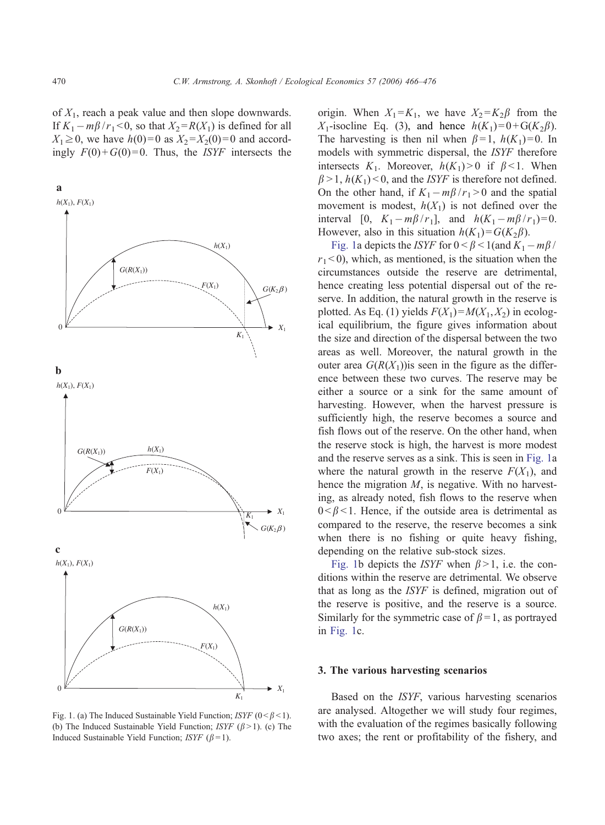of  $X_1$ , reach a peak value and then slope downwards. If  $K_1 - m\beta/r_1 < 0$ , so that  $X_2 = R(X_1)$  is defined for all  $X_1 \ge 0$ , we have  $h(0)=0$  as  $X_2 = X_2(0) = 0$  and accordingly  $F(0) + G(0) = 0$ . Thus, the *ISYF* intersects the



Fig. 1. (a) The Induced Sustainable Yield Function;  $ISYF$  ( $0 < \beta < 1$ ). (b) The Induced Sustainable Yield Function;  $ISYF (\beta > 1)$ . (c) The Induced Sustainable Yield Function;  $ISYF$  ( $\beta = 1$ ).

origin. When  $X_1 = K_1$ , we have  $X_2 = K_2 \beta$  from the  $X_1$ -isocline Eq. (3), and hence  $h(K_1)=0+G(K_2\beta)$ . The harvesting is then nil when  $\beta = 1$ ,  $h(K_1) = 0$ . In models with symmetric dispersal, the ISYF therefore intersects  $K_1$ . Moreover,  $h(K_1) > 0$  if  $\beta < 1$ . When  $\beta$  > 1,  $h(K_1)$  < 0, and the *ISYF* is therefore not defined. On the other hand, if  $K_1 - m\beta / r_1 > 0$  and the spatial movement is modest,  $h(X_1)$  is not defined over the interval [0,  $K_1 - m\beta/r_1$ ], and  $h(K_1 - m\beta/r_1) = 0$ . However, also in this situation  $h(K_1) = G(K_2\beta)$ .

Fig. 1a depicts the *ISYF* for  $0 < \beta < 1$  (and  $K_1 - m\beta$ )  $r_1$ <0), which, as mentioned, is the situation when the circumstances outside the reserve are detrimental, hence creating less potential dispersal out of the reserve. In addition, the natural growth in the reserve is plotted. As Eq. (1) yields  $F(X_1) = M(X_1, X_2)$  in ecological equilibrium, the figure gives information about the size and direction of the dispersal between the two areas as well. Moreover, the natural growth in the outer area  $G(R(X_1))$  is seen in the figure as the difference between these two curves. The reserve may be either a source or a sink for the same amount of harvesting. However, when the harvest pressure is sufficiently high, the reserve becomes a source and fish flows out of the reserve. On the other hand, when the reserve stock is high, the harvest is more modest and the reserve serves as a sink. This is seen in Fig. 1a where the natural growth in the reserve  $F(X_1)$ , and hence the migration  $M$ , is negative. With no harvesting, as already noted, fish flows to the reserve when  $0 < \beta < 1$ . Hence, if the outside area is detrimental as compared to the reserve, the reserve becomes a sink when there is no fishing or quite heavy fishing, depending on the relative sub-stock sizes.

Fig. 1b depicts the *ISYF* when  $\beta > 1$ , i.e. the conditions within the reserve are detrimental. We observe that as long as the ISYF is defined, migration out of the reserve is positive, and the reserve is a source. Similarly for the symmetric case of  $\beta = 1$ , as portrayed in Fig. 1c.

## 3. The various harvesting scenarios

Based on the ISYF, various harvesting scenarios are analysed. Altogether we will study four regimes, with the evaluation of the regimes basically following two axes; the rent or profitability of the fishery, and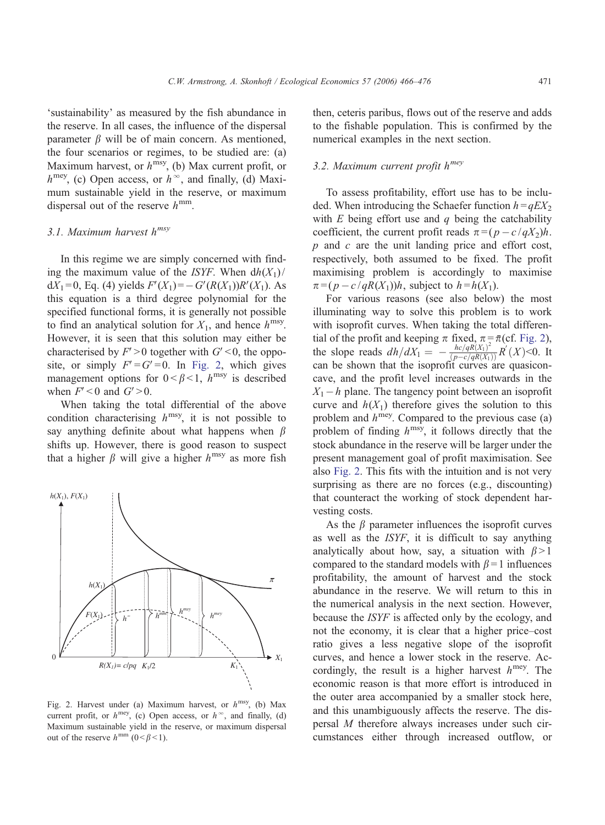<span id="page-5-0"></span>'sustainability' as measured by the fish abundance in the reserve. In all cases, the influence of the dispersal parameter  $\beta$  will be of main concern. As mentioned, the four scenarios or regimes, to be studied are: (a) Maximum harvest, or  $h^{msy}$ , (b) Max current profit, or  $h^{\text{mey}}$ , (c) Open access, or  $h^{\infty}$ , and finally, (d) Maximum sustainable yield in the reserve, or maximum dispersal out of the reserve  $h^{\text{mm}}$ .

## 3.1. Maximum harvest  $h^{msy}$

In this regime we are simply concerned with finding the maximum value of the ISYF. When  $dh(X_1)$  $dX_1 = 0$ , Eq. (4) yields  $F'(X_1) = -G'(R(X_1))R'(X_1)$ . As this equation is a third degree polynomial for the specified functional forms, it is generally not possible to find an analytical solution for  $X_1$ , and hence  $h^{msy}$ . However, it is seen that this solution may either be characterised by  $F' > 0$  together with  $G' < 0$ , the opposite, or simply  $F'=G'=0$ . In Fig. 2, which gives management options for  $0 < \beta < 1$ ,  $h^{msy}$  is described when  $F' < 0$  and  $G' > 0$ .

When taking the total differential of the above condition characterising  $h^{msy}$ , it is not possible to say anything definite about what happens when  $\beta$ shifts up. However, there is good reason to suspect that a higher  $\beta$  will give a higher  $h^{m s y}$  as more fish



Fig. 2. Harvest under (a) Maximum harvest, or  $h^{msy}$ , (b) Max current profit, or  $h^{\text{mey}}$ , (c) Open access, or  $h^{\infty}$ , and finally, (d) Maximum sustainable yield in the reserve, or maximum dispersal out of the reserve  $h^{mm}$  (0< $\beta$  < 1).

then, ceteris paribus, flows out of the reserve and adds to the fishable population. This is confirmed by the numerical examples in the next section.

## 3.2. Maximum current profit  $h^{mey}$

To assess profitability, effort use has to be included. When introducing the Schaefer function  $h = qEX_2$ with  $E$  being effort use and  $q$  being the catchability coefficient, the current profit reads  $\pi = (p - c/qX_2)h$ .  $p$  and  $c$  are the unit landing price and effort cost, respectively, both assumed to be fixed. The profit maximising problem is accordingly to maximise  $\pi = (p - c/qR(X_1))h$ , subject to  $h = h(X_1)$ .

For various reasons (see also below) the most illuminating way to solve this problem is to work with isoprofit curves. When taking the total differential of the profit and keeping  $\pi$  fixed,  $\pi = \bar{\pi}$ (cf. Fig. 2), the slope reads  $dh/dX_1 = -\frac{hc/qR(X_1)^2}{\sqrt{p-c/qR(X_1))}}R'(X) < 0.$  It can be shown that the isoprofit curves are quasiconcave, and the profit level increases outwards in the  $X_1 - h$  plane. The tangency point between an isoprofit curve and  $h(X_1)$  therefore gives the solution to this problem and  $h^{\text{mey}}$ . Compared to the previous case (a) problem of finding  $h^{msy}$ , it follows directly that the stock abundance in the reserve will be larger under the present management goal of profit maximisation. See also Fig. 2. This fits with the intuition and is not very surprising as there are no forces (e.g., discounting) that counteract the working of stock dependent harvesting costs.

As the  $\beta$  parameter influences the isoprofit curves as well as the ISYF, it is difficult to say anything analytically about how, say, a situation with  $\beta > 1$ compared to the standard models with  $\beta = 1$  influences profitability, the amount of harvest and the stock abundance in the reserve. We will return to this in the numerical analysis in the next section. However, because the ISYF is affected only by the ecology, and not the economy, it is clear that a higher price–cost ratio gives a less negative slope of the isoprofit curves, and hence a lower stock in the reserve. Accordingly, the result is a higher harvest  $h^{mey}$ . The economic reason is that more effort is introduced in the outer area accompanied by a smaller stock here, and this unambiguously affects the reserve. The dispersal M therefore always increases under such circumstances either through increased outflow, or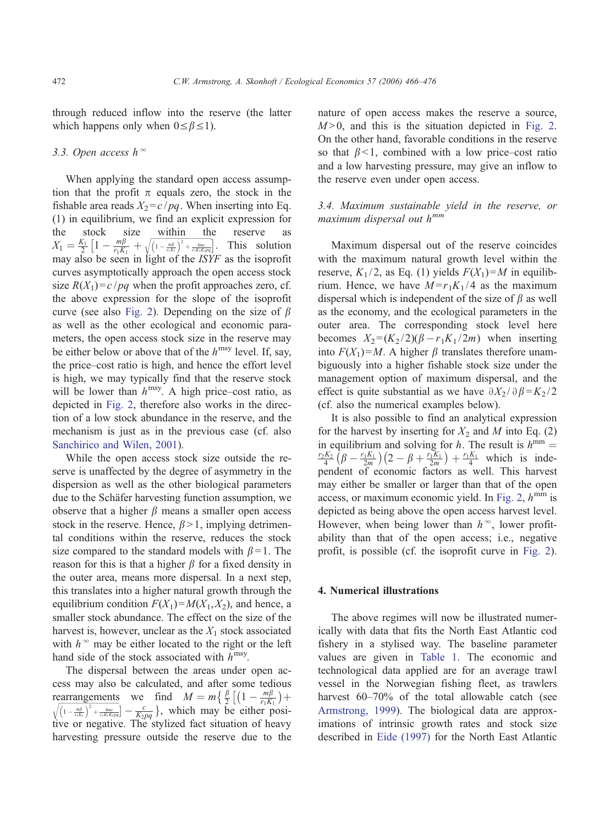through reduced inflow into the reserve (the latter which happens only when  $0 \le \beta \le 1$ ).

## 3.3. Open access  $h^{\infty}$

When applying the standard open access assumption that the profit  $\pi$  equals zero, the stock in the fishable area reads  $X_2 = c/pq$ . When inserting into Eq. (1) in equilibrium, we find an explicit expression for the stock size within the reserve as  $X_1 = \frac{K_1}{2}$  $\left[1 - \frac{mg}{r_1K_1} + \sqrt{\left(1 - \frac{mg}{r_1K_1}\right)^2 + \frac{4mc}{r_1K_1K_2pq}}\right]$ . This solution may also be seen in light of the ISYF as the isoprofit curves asymptotically approach the open access stock size  $R(X_1) = c / pq$  when the profit approaches zero, cf. the above expression for the slope of the isoprofit curve (see also [Fig. 2\)](#page-5-0). Depending on the size of  $\beta$ as well as the other ecological and economic parameters, the open access stock size in the reserve may be either below or above that of the  $h^{msy}$  level. If, say, the price–cost ratio is high, and hence the effort level is high, we may typically find that the reserve stock will be lower than  $h^{msy}$ . A high price–cost ratio, as depicted in [Fig. 2,](#page-5-0) therefore also works in the direction of a low stock abundance in the reserve, and the mechanism is just as in the previous case (cf. also [Sanchirico and Wilen, 2001\)](#page-10-0).

While the open access stock size outside the reserve is unaffected by the degree of asymmetry in the dispersion as well as the other biological parameters due to the Schäfer harvesting function assumption, we observe that a higher  $\beta$  means a smaller open access stock in the reserve. Hence,  $\beta > 1$ , implying detrimental conditions within the reserve, reduces the stock size compared to the standard models with  $\beta = 1$ . The reason for this is that a higher  $\beta$  for a fixed density in the outer area, means more dispersal. In a next step, this translates into a higher natural growth through the equilibrium condition  $F(X_1) = M(X_1, X_2)$ , and hence, a smaller stock abundance. The effect on the size of the harvest is, however, unclear as the  $X_1$  stock associated with  $h^{\infty}$  may be either located to the right or the left hand side of the stock associated with  $h<sup>msy</sup>$ .

The dispersal between the areas under open access may also be calculated, and after some tedious rearrangements we find  $M = m\left\{\frac{\beta}{2}\right\}$  $\left[ \left( 1 - \frac{m\beta}{r_1 K_1} \right) \right]$ for the state of the term of the state of the state of the state of the state of the state of the state of the state of the state of the state of the state of the state of the state of the state of the state of the state  $\sqrt{\left(1-\frac{m\beta}{r_1K_1}\right)^2+\frac{4m\beta}{r_1K_1K_2pq}}$  –  $\frac{c}{K_2pq}$ , which may be either positive or negative. The stylized fact situation of heavy harvesting pressure outside the reserve due to the nature of open access makes the reserve a source,  $M > 0$ , and this is the situation depicted in [Fig. 2.](#page-5-0) On the other hand, favorable conditions in the reserve so that  $\beta$  < 1, combined with a low price–cost ratio and a low harvesting pressure, may give an inflow to the reserve even under open access.

## 3.4. Maximum sustainable yield in the reserve, or maximum dispersal out  $h^{mm}$

Maximum dispersal out of the reserve coincides with the maximum natural growth level within the reserve,  $K_1/2$ , as Eq. (1) yields  $F(X_1)=M$  in equilibrium. Hence, we have  $M = r_1 K_1 / 4$  as the maximum dispersal which is independent of the size of  $\beta$  as well as the economy, and the ecological parameters in the outer area. The corresponding stock level here becomes  $X_2 = (K_2/2)(\beta - r_1K_1/2m)$  when inserting into  $F(X_1) = M$ . A higher  $\beta$  translates therefore unambiguously into a higher fishable stock size under the management option of maximum dispersal, and the effect is quite substantial as we have  $\partial X_2 / \partial \beta = K_2 / 2$ (cf. also the numerical examples below).

It is also possible to find an analytical expression for the harvest by inserting for  $X_2$  and M into Eq. (2) in equilibrium and solving for h. The result is  $h^{mm} =$  $rac{r_2 K_2}{4} (\beta - \frac{r_1 K_1}{2m}) (2 - \beta + \frac{r_1 K_1}{2m}) + \frac{r_1 K_1}{4}$  which is independent of economic factors as well. This harvest may either be smaller or larger than that of the open access, or maximum economic yield. In [Fig. 2,](#page-5-0)  $h^{mm}$  is depicted as being above the open access harvest level. However, when being lower than  $h^{\infty}$ , lower profitability than that of the open access; i.e., negative profit, is possible (cf. the isoprofit curve in [Fig. 2\)](#page-5-0).

#### 4. Numerical illustrations

The above regimes will now be illustrated numerically with data that fits the North East Atlantic cod fishery in a stylised way. The baseline parameter values are given in [Table 1.](#page-7-0) The economic and technological data applied are for an average trawl vessel in the Norwegian fishing fleet, as trawlers harvest 60–70% of the total allowable catch (see [Armstrong, 1999\)](#page-10-0). The biological data are approximations of intrinsic growth rates and stock size described in [Eide \(1997\)](#page-10-0) for the North East Atlantic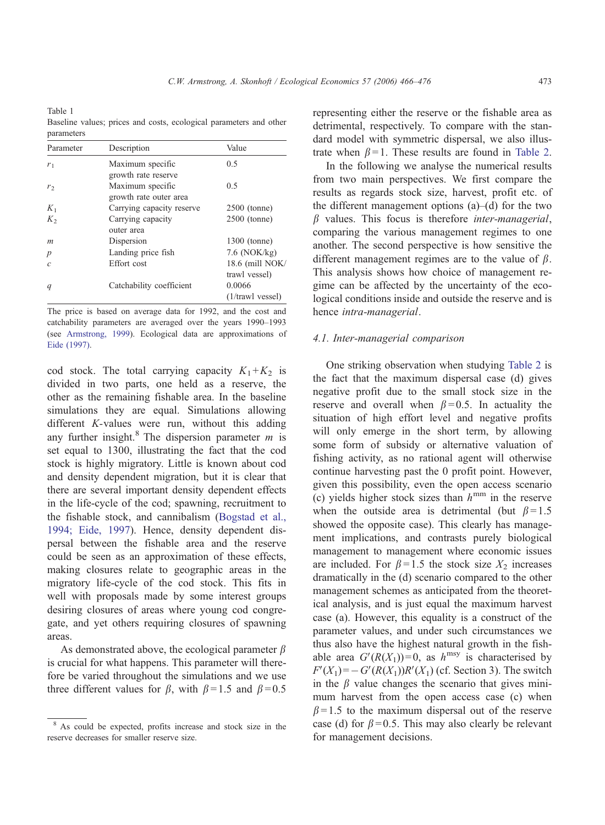<span id="page-7-0"></span>Table 1 Baseline values; prices and costs, ecological parameters and other parameters

| Parameter        | Description                                                       | Value                            |
|------------------|-------------------------------------------------------------------|----------------------------------|
| r <sub>1</sub>   | Maximum specific                                                  | 0.5                              |
| r <sub>2</sub>   | growth rate reserve<br>Maximum specific<br>growth rate outer area | 0.5                              |
| $K_1$            | Carrying capacity reserve                                         | $2500$ (tonne)                   |
| $K_2$            | Carrying capacity                                                 | $2500$ (tonne)                   |
| m                | outer area<br>Dispersion                                          | $1300$ (tonne)                   |
| $\boldsymbol{p}$ | Landing price fish                                                | 7.6 (NOK/kg)                     |
| $\mathcal{C}$    | Effort cost                                                       | 18.6 (mill NOK/<br>trawl vessel) |
| q                | Catchability coefficient                                          | 0.0066<br>$(1/$ trawl vessel)    |

The price is based on average data for 1992, and the cost and catchability parameters are averaged over the years 1990–1993 (see [Armstrong, 1999\)](#page-10-0). Ecological data are approximations of [Eide \(1997\).](#page-10-0)

cod stock. The total carrying capacity  $K_1+K_2$  is divided in two parts, one held as a reserve, the other as the remaining fishable area. In the baseline simulations they are equal. Simulations allowing different *K*-values were run, without this adding any further insight.<sup>8</sup> The dispersion parameter  $m$  is set equal to 1300, illustrating the fact that the cod stock is highly migratory. Little is known about cod and density dependent migration, but it is clear that there are several important density dependent effects in the life-cycle of the cod; spawning, recruitment to the fishable stock, and cannibalism ([Bogstad et al.,](#page-10-0) 1994; Eide, 1997). Hence, density dependent dispersal between the fishable area and the reserve could be seen as an approximation of these effects, making closures relate to geographic areas in the migratory life-cycle of the cod stock. This fits in well with proposals made by some interest groups desiring closures of areas where young cod congregate, and yet others requiring closures of spawning areas.

As demonstrated above, the ecological parameter  $\beta$ is crucial for what happens. This parameter will therefore be varied throughout the simulations and we use three different values for  $\beta$ , with  $\beta = 1.5$  and  $\beta = 0.5$  representing either the reserve or the fishable area as detrimental, respectively. To compare with the standard model with symmetric dispersal, we also illustrate when  $\beta = 1$ . These results are found in [Table 2.](#page-8-0)

In the following we analyse the numerical results from two main perspectives. We first compare the results as regards stock size, harvest, profit etc. of the different management options (a)–(d) for the two  $\beta$  values. This focus is therefore *inter-managerial*, comparing the various management regimes to one another. The second perspective is how sensitive the different management regimes are to the value of  $\beta$ . This analysis shows how choice of management regime can be affected by the uncertainty of the ecological conditions inside and outside the reserve and is hence intra-managerial.

## 4.1. Inter-managerial comparison

One striking observation when studying [Table 2](#page-8-0) is the fact that the maximum dispersal case (d) gives negative profit due to the small stock size in the reserve and overall when  $\beta = 0.5$ . In actuality the situation of high effort level and negative profits will only emerge in the short term, by allowing some form of subsidy or alternative valuation of fishing activity, as no rational agent will otherwise continue harvesting past the 0 profit point. However, given this possibility, even the open access scenario (c) yields higher stock sizes than  $h^{mm}$  in the reserve when the outside area is detrimental (but  $\beta = 1.5$ showed the opposite case). This clearly has management implications, and contrasts purely biological management to management where economic issues are included. For  $\beta = 1.5$  the stock size  $X_2$  increases dramatically in the (d) scenario compared to the other management schemes as anticipated from the theoretical analysis, and is just equal the maximum harvest case (a). However, this equality is a construct of the parameter values, and under such circumstances we thus also have the highest natural growth in the fishable area  $G'(R(X_1))=0$ , as  $h^{msy}$  is characterised by  $F'(X_1) = -G'(R(X_1))R'(X_1)$  (cf. Section 3). The switch in the  $\beta$  value changes the scenario that gives minimum harvest from the open access case (c) when  $\beta$ =1.5 to the maximum dispersal out of the reserve case (d) for  $\beta = 0.5$ . This may also clearly be relevant for management decisions.

<sup>&</sup>lt;sup>8</sup> As could be expected, profits increase and stock size in the reserve decreases for smaller reserve size.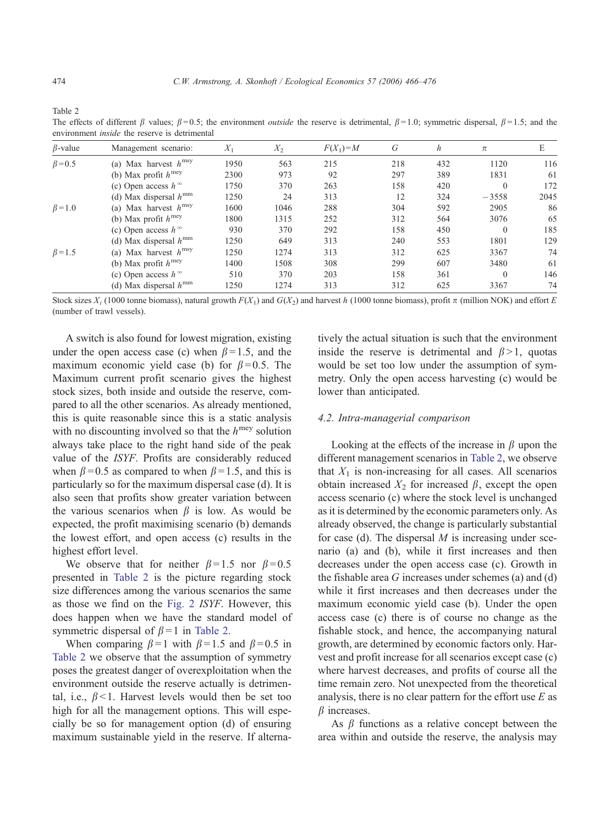The effects of different  $\beta$  values;  $\beta = 0.5$ ; the environment *outside* the reserve is detrimental,  $\beta = 1.0$ ; symmetric dispersal,  $\beta = 1.5$ ; and the

<span id="page-8-0"></span>Table 2

environment inside the reserve is detrimental  $\beta$ -value Management scenario:  $X_1$   $X_2$   $F(X_1) = M$  G h  $\pi$  E  $\beta = 0.5$  (a) Max harvest  $h^{msy}$  1950 563 215 218 432 1120 116 (b) Max profit  $h^{mey}$  2300 973 92 297 389 1831 61 (c) Open access  $h^{\infty}$  1750 370 263 158 420 0 172 (d) Max dispersal  $h^{mm}$  1250 24 313 12 324  $-3558$  2045  $\beta = 1.0$  (a) Max harvest h<sup>msy</sup> 1600 1046 288 304 592 2905 86 (b) Max profit  $h^{mey}$  1800 1315 252 312 564 3076 65 (c) Open access  $h^{\infty}$  930 370 292 158 450 0 185 (d) Max dispersal  $h^{mm}$  1250 649 313 240 553 1801 129  $\beta = 1.5$  (a) Max harvest h<sup>msy</sup> 1250 1274 313 312 625 3367 74 (b) Max profit  $h^{mey}$  1400 1508 308 299 607 3480 61 (c) Open access  $h^{\infty}$  510 370 203 158 361 0 146 (d) Max dispersal  $h^{mm}$  1250 1274 313 312 625 3367 74

Stock sizes  $X_i$  (1000 tonne biomass), natural growth  $F(X_1)$  and  $G(X_2)$  and harvest h (1000 tonne biomass), profit  $\pi$  (million NOK) and effort E (number of trawl vessels).

A switch is also found for lowest migration, existing under the open access case (c) when  $\beta = 1.5$ , and the maximum economic yield case (b) for  $\beta = 0.5$ . The Maximum current profit scenario gives the highest stock sizes, both inside and outside the reserve, compared to all the other scenarios. As already mentioned, this is quite reasonable since this is a static analysis with no discounting involved so that the  $h^{\text{mey}}$  solution always take place to the right hand side of the peak value of the ISYF. Profits are considerably reduced when  $\beta = 0.5$  as compared to when  $\beta = 1.5$ , and this is particularly so for the maximum dispersal case (d). It is also seen that profits show greater variation between the various scenarios when  $\beta$  is low. As would be expected, the profit maximising scenario (b) demands the lowest effort, and open access (c) results in the highest effort level.

We observe that for neither  $\beta = 1.5$  nor  $\beta = 0.5$ presented in Table 2 is the picture regarding stock size differences among the various scenarios the same as those we find on the [Fig. 2](#page-5-0) ISYF. However, this does happen when we have the standard model of symmetric dispersal of  $\beta = 1$  in Table 2.

When comparing  $\beta = 1$  with  $\beta = 1.5$  and  $\beta = 0.5$  in Table 2 we observe that the assumption of symmetry poses the greatest danger of overexploitation when the environment outside the reserve actually is detrimental, i.e.,  $\beta$ <1. Harvest levels would then be set too high for all the management options. This will especially be so for management option (d) of ensuring maximum sustainable yield in the reserve. If alternatively the actual situation is such that the environment inside the reserve is detrimental and  $\beta > 1$ , quotas would be set too low under the assumption of symmetry. Only the open access harvesting (c) would be lower than anticipated.

## 4.2. Intra-managerial comparison

Looking at the effects of the increase in  $\beta$  upon the different management scenarios in Table 2, we observe that  $X_1$  is non-increasing for all cases. All scenarios obtain increased  $X_2$  for increased  $\beta$ , except the open access scenario (c) where the stock level is unchanged as it is determined by the economic parameters only. As already observed, the change is particularly substantial for case (d). The dispersal  $M$  is increasing under scenario (a) and (b), while it first increases and then decreases under the open access case (c). Growth in the fishable area  $G$  increases under schemes (a) and (d) while it first increases and then decreases under the maximum economic yield case (b). Under the open access case (c) there is of course no change as the fishable stock, and hence, the accompanying natural growth, are determined by economic factors only. Harvest and profit increase for all scenarios except case (c) where harvest decreases, and profits of course all the time remain zero. Not unexpected from the theoretical analysis, there is no clear pattern for the effort use  $E$  as  $\beta$  increases.

As  $\beta$  functions as a relative concept between the area within and outside the reserve, the analysis may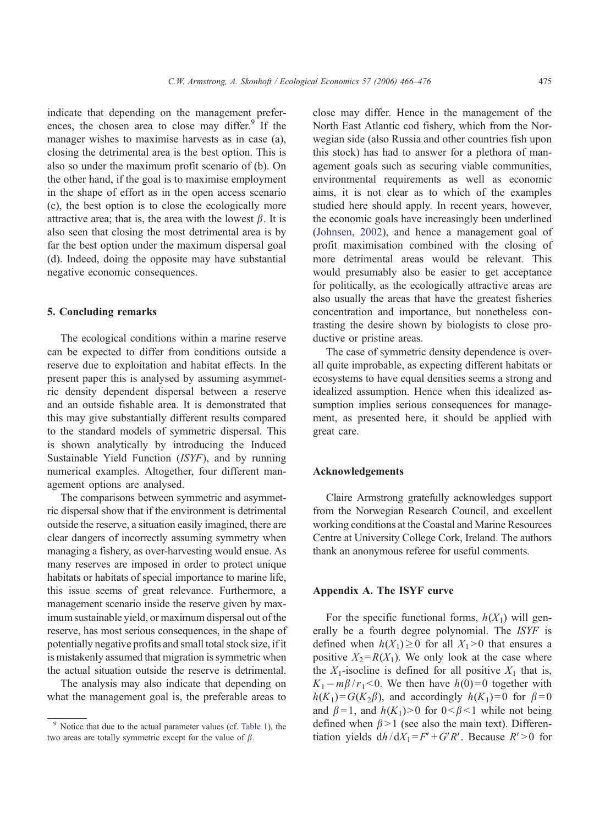indicate that depending on the management preferences, the chosen area to close may differ. $9$  If the manager wishes to maximise harvests as in case (a), closing the detrimental area is the best option. This is also so under the maximum profit scenario of (b). On the other hand, if the goal is to maximise employment in the shape of effort as in the open access scenario (c), the best option is to close the ecologically more attractive area; that is, the area with the lowest  $\beta$ . It is also seen that closing the most detrimental area is by far the best option under the maximum dispersal goal (d). Indeed, doing the opposite may have substantial negative economic consequences.

## 5. Concluding remarks

The ecological conditions within a marine reserve can be expected to differ from conditions outside a reserve due to exploitation and habitat effects. In the present paper this is analysed by assuming asymmetric density dependent dispersal between a reserve and an outside fishable area. It is demonstrated that this may give substantially different results compared to the standard models of symmetric dispersal. This is shown analytically by introducing the Induced Sustainable Yield Function (ISYF), and by running numerical examples. Altogether, four different management options are analysed.

The comparisons between symmetric and asymmetric dispersal show that if the environment is detrimental outside the reserve, a situation easily imagined, there are clear dangers of incorrectly assuming symmetry when managing a fishery, as over-harvesting would ensue. As many reserves are imposed in order to protect unique habitats or habitats of special importance to marine life, this issue seems of great relevance. Furthermore, a management scenario inside the reserve given by maximum sustainable yield, or maximum dispersal out of the reserve, has most serious consequences, in the shape of potentially negative profits and small total stock size, if it is mistakenly assumed that migration is symmetric when the actual situation outside the reserve is detrimental.

The analysis may also indicate that depending on what the management goal is, the preferable areas to close may differ. Hence in the management of the North East Atlantic cod fishery, which from the Norwegian side (also Russia and other countries fish upon this stock) has had to answer for a plethora of management goals such as securing viable communities, environmental requirements as well as economic aims, it is not clear as to which of the examples studied here should apply. In recent years, however, the economic goals have increasingly been underlined ([Johnsen, 2002\)](#page-10-0), and hence a management goal of profit maximisation combined with the closing of more detrimental areas would be relevant. This would presumably also be easier to get acceptance for politically, as the ecologically attractive areas are also usually the areas that have the greatest fisheries concentration and importance, but nonetheless contrasting the desire shown by biologists to close productive or pristine areas.

The case of symmetric density dependence is overall quite improbable, as expecting different habitats or ecosystems to have equal densities seems a strong and idealized assumption. Hence when this idealized assumption implies serious consequences for management, as presented here, it should be applied with great care.

## Acknowledgements

Claire Armstrong gratefully acknowledges support from the Norwegian Research Council, and excellent working conditions at the Coastal and Marine Resources Centre at University College Cork, Ireland. The authors thank an anonymous referee for useful comments.

#### Appendix A. The ISYF curve

For the specific functional forms,  $h(X_1)$  will generally be a fourth degree polynomial. The ISYF is defined when  $h(X_1) \ge 0$  for all  $X_1 > 0$  that ensures a positive  $X_2 = R(X_1)$ . We only look at the case where the  $X_1$ -isocline is defined for all positive  $X_1$  that is,  $K_1 - m\beta/r_1 < 0$ . We then have  $h(0)=0$  together with  $h(K_1) = G(K_2\beta)$ , and accordingly  $h(K_1) = 0$  for  $\beta = 0$ and  $\beta = 1$ , and  $h(K_1) > 0$  for  $0 < \beta < 1$  while not being defined when  $\beta > 1$  (see also the main text). Differentiation yields  $dh/dX_1 = F' + G'R'$ . Because  $R' > 0$  for

 $9$  Notice that due to the actual parameter values (cf. [Table 1\)](#page-7-0), the two areas are totally symmetric except for the value of  $\beta$ .